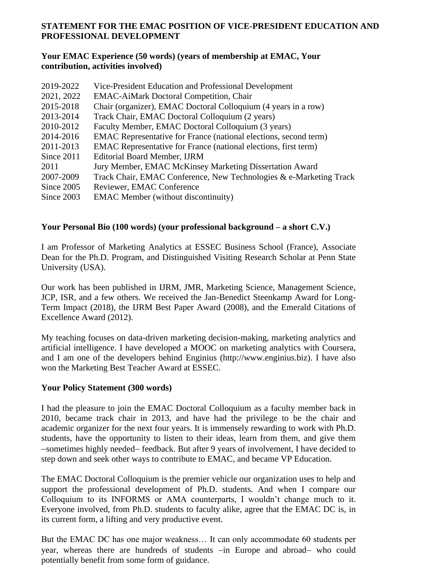## **STATEMENT FOR THE EMAC POSITION OF VICE-PRESIDENT EDUCATION AND PROFESSIONAL DEVELOPMENT**

## **Your EMAC Experience (50 words) (years of membership at EMAC, Your contribution, activities involved)**

| 2019-2022  | Vice-President Education and Professional Development                   |
|------------|-------------------------------------------------------------------------|
| 2021, 2022 | <b>EMAC-AiMark Doctoral Competition, Chair</b>                          |
| 2015-2018  | Chair (organizer), EMAC Doctoral Colloquium (4 years in a row)          |
| 2013-2014  | Track Chair, EMAC Doctoral Colloquium (2 years)                         |
| 2010-2012  | Faculty Member, EMAC Doctoral Colloquium (3 years)                      |
| 2014-2016  | <b>EMAC</b> Representative for France (national elections, second term) |
| 2011-2013  | <b>EMAC</b> Representative for France (national elections, first term)  |
| Since 2011 | <b>Editorial Board Member, IJRM</b>                                     |
| 2011       | Jury Member, EMAC McKinsey Marketing Dissertation Award                 |
| 2007-2009  | Track Chair, EMAC Conference, New Technologies & e-Marketing Track      |
| Since 2005 | Reviewer, EMAC Conference                                               |
| Since 2003 | <b>EMAC</b> Member (without discontinuity)                              |
|            |                                                                         |

## **Your Personal Bio (100 words) (your professional background – a short C.V.)**

I am Professor of Marketing Analytics at ESSEC Business School (France), Associate Dean for the Ph.D. Program, and Distinguished Visiting Research Scholar at Penn State University (USA).

Our work has been published in IJRM, JMR, Marketing Science, Management Science, JCP, ISR, and a few others. We received the Jan-Benedict Steenkamp Award for Long-Term Impact (2018), the IJRM Best Paper Award (2008), and the Emerald Citations of Excellence Award (2012).

My teaching focuses on data-driven marketing decision-making, marketing analytics and artificial intelligence. I have developed a MOOC on marketing analytics with Coursera, and I am one of the developers behind Enginius (http://www.enginius.biz). I have also won the Marketing Best Teacher Award at ESSEC.

## **Your Policy Statement (300 words)**

I had the pleasure to join the EMAC Doctoral Colloquium as a faculty member back in 2010, became track chair in 2013, and have had the privilege to be the chair and academic organizer for the next four years. It is immensely rewarding to work with Ph.D. students, have the opportunity to listen to their ideas, learn from them, and give them −sometimes highly needed− feedback. But after 9 years of involvement, I have decided to step down and seek other ways to contribute to EMAC, and became VP Education.

The EMAC Doctoral Colloquium is the premier vehicle our organization uses to help and support the professional development of Ph.D. students. And when I compare our Colloquium to its INFORMS or AMA counterparts, I wouldn't change much to it. Everyone involved, from Ph.D. students to faculty alike, agree that the EMAC DC is, in its current form, a lifting and very productive event.

But the EMAC DC has one major weakness… It can only accommodate 60 students per year, whereas there are hundreds of students −in Europe and abroad− who could potentially benefit from some form of guidance.